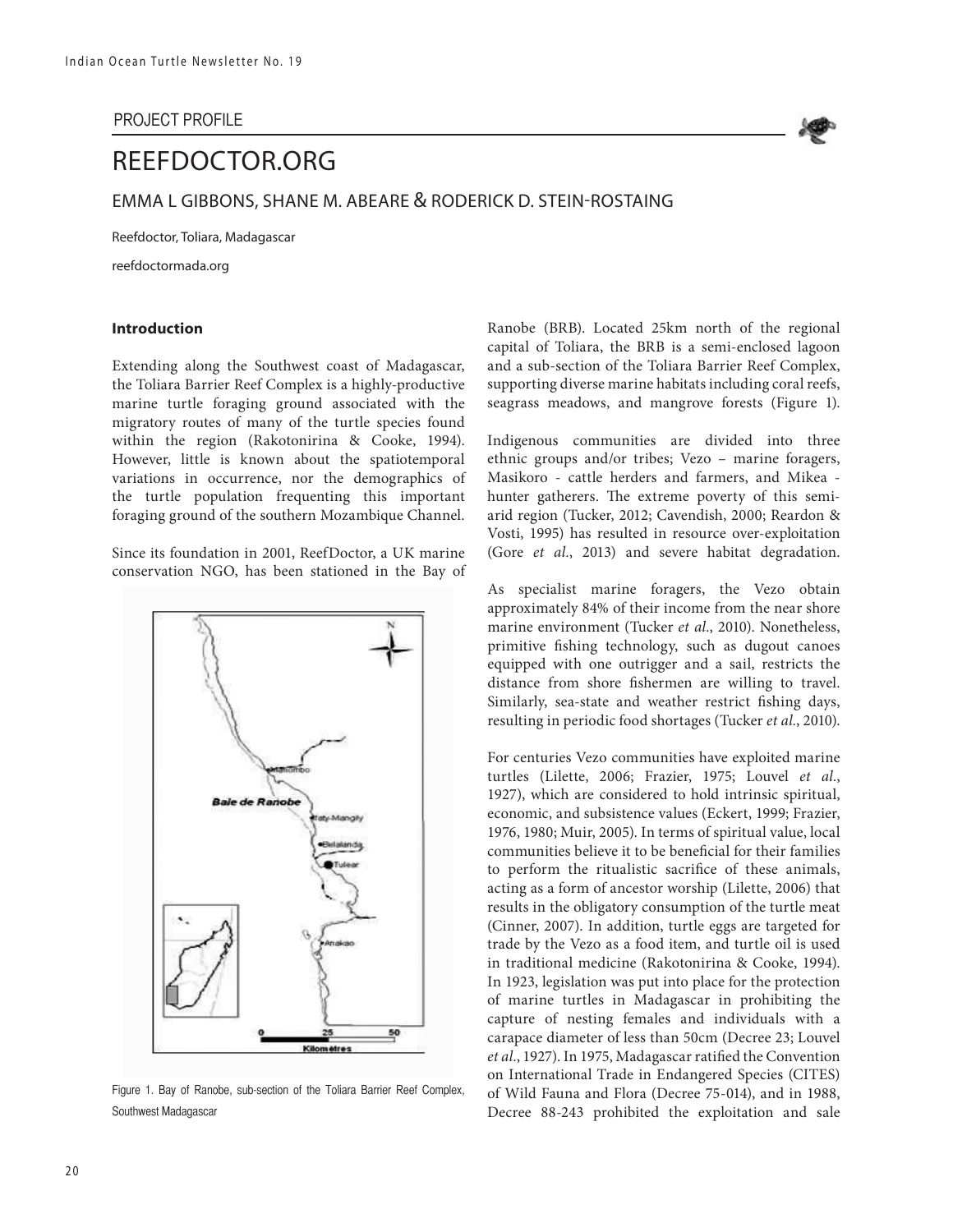#### PROJECT PROFILE



# REEFDOCTOR.ORG

EMMA L GIBBONS, SHANE M. ABEARE & RODERICK D. STEIN-ROSTAING

Reefdoctor, Toliara, Madagascar

reefdoctormada.org

#### **Introduction**

Extending along the Southwest coast of Madagascar, the Toliara Barrier Reef Complex is a highly-productive marine turtle foraging ground associated with the migratory routes of many of the turtle species found within the region (Rakotonirina & Cooke, 1994). However, little is known about the spatiotemporal variations in occurrence, nor the demographics of the turtle population frequenting this important foraging ground of the southern Mozambique Channel.

Since its foundation in 2001, ReefDoctor, a UK marine conservation NGO, has been stationed in the Bay of



Figure 1. Bay of Ranobe, sub-section of the Toliara Barrier Reef Complex, Southwest Madagascar

Ranobe (BRB). Located 25km north of the regional capital of Toliara, the BRB is a semi-enclosed lagoon and a sub-section of the Toliara Barrier Reef Complex, supporting diverse marine habitats including coral reefs, seagrass meadows, and mangrove forests (Figure 1).

Indigenous communities are divided into three ethnic groups and/or tribes; Vezo – marine foragers, Masikoro - cattle herders and farmers, and Mikea hunter gatherers. The extreme poverty of this semiarid region (Tucker, 2012; Cavendish, 2000; Reardon & Vosti, 1995) has resulted in resource over-exploitation (Gore *et al.*, 2013) and severe habitat degradation.

As specialist marine foragers, the Vezo obtain approximately 84% of their income from the near shore marine environment (Tucker *et al.*, 2010). Nonetheless, primitive fishing technology, such as dugout canoes equipped with one outrigger and a sail, restricts the distance from shore fishermen are willing to travel. Similarly, sea-state and weather restrict fishing days, resulting in periodic food shortages (Tucker *et al.*, 2010).

For centuries Vezo communities have exploited marine turtles (Lilette, 2006; Frazier, 1975; Louvel *et al.*, 1927), which are considered to hold intrinsic spiritual, economic, and subsistence values (Eckert, 1999; Frazier, 1976, 1980; Muir, 2005). In terms of spiritual value, local communities believe it to be beneficial for their families to perform the ritualistic sacrifice of these animals, acting as a form of ancestor worship (Lilette, 2006) that results in the obligatory consumption of the turtle meat (Cinner, 2007). In addition, turtle eggs are targeted for trade by the Vezo as a food item, and turtle oil is used in traditional medicine (Rakotonirina & Cooke, 1994). In 1923, legislation was put into place for the protection of marine turtles in Madagascar in prohibiting the capture of nesting females and individuals with a carapace diameter of less than 50cm (Decree 23; Louvel *et al.*, 1927). In 1975, Madagascar ratified the Convention on International Trade in Endangered Species (CITES) of Wild Fauna and Flora (Decree 75-014), and in 1988, Decree 88-243 prohibited the exploitation and sale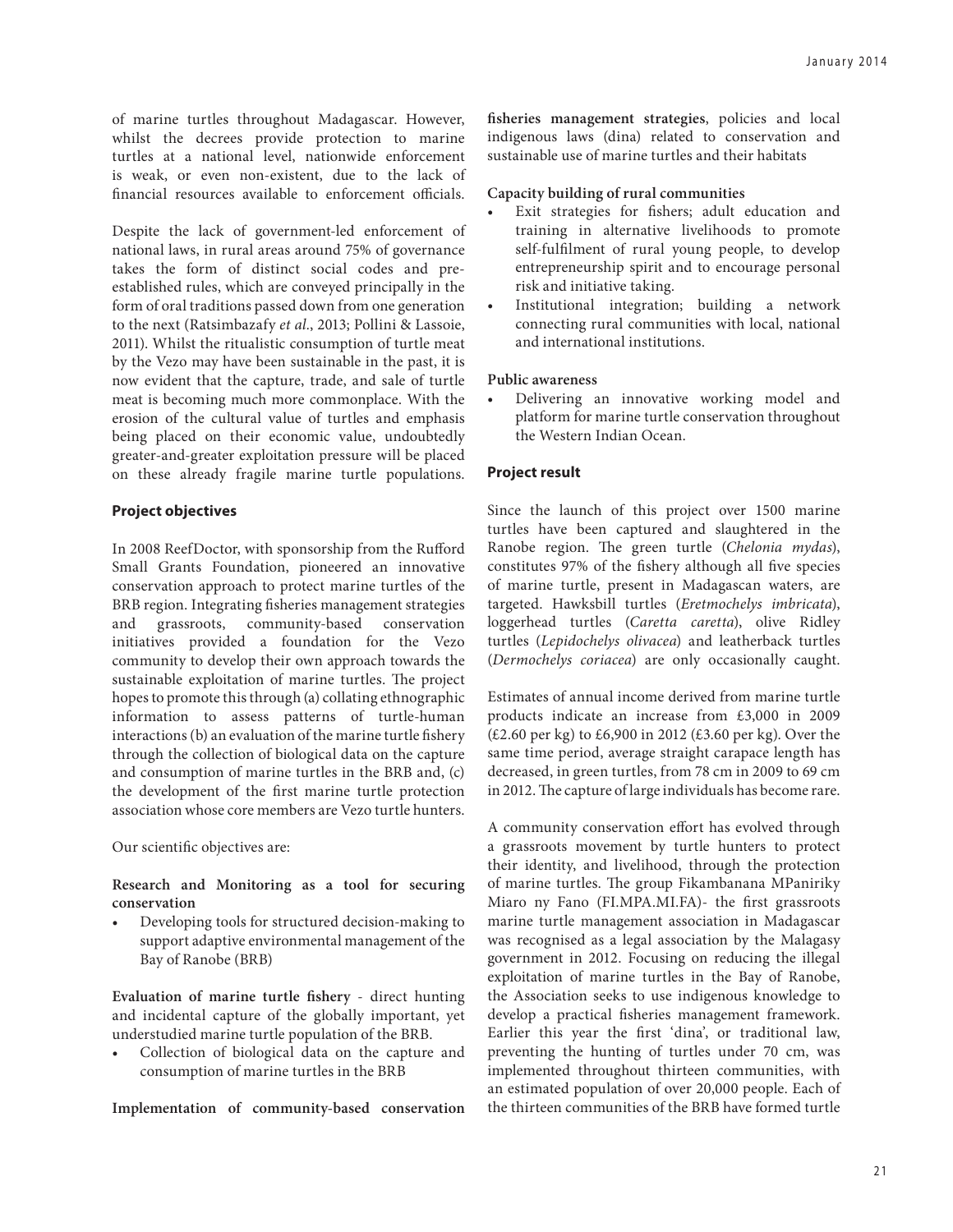of marine turtles throughout Madagascar. However, whilst the decrees provide protection to marine turtles at a national level, nationwide enforcement is weak, or even non-existent, due to the lack of financial resources available to enforcement officials.

Despite the lack of government-led enforcement of national laws, in rural areas around 75% of governance takes the form of distinct social codes and preestablished rules, which are conveyed principally in the form of oral traditions passed down from one generation to the next (Ratsimbazafy *et al.*, 2013; Pollini & Lassoie, 2011). Whilst the ritualistic consumption of turtle meat by the Vezo may have been sustainable in the past, it is now evident that the capture, trade, and sale of turtle meat is becoming much more commonplace. With the erosion of the cultural value of turtles and emphasis being placed on their economic value, undoubtedly greater-and-greater exploitation pressure will be placed on these already fragile marine turtle populations.

#### **Project objectives**

In 2008 ReefDoctor, with sponsorship from the Rufford Small Grants Foundation, pioneered an innovative conservation approach to protect marine turtles of the BRB region. Integrating fisheries management strategies and grassroots, community-based conservation initiatives provided a foundation for the Vezo community to develop their own approach towards the sustainable exploitation of marine turtles. The project hopes to promote this through (a) collating ethnographic information to assess patterns of turtle-human interactions (b) an evaluation of the marine turtle fishery through the collection of biological data on the capture and consumption of marine turtles in the BRB and, (c) the development of the first marine turtle protection association whose core members are Vezo turtle hunters.

Our scientific objectives are:

**Research and Monitoring as a tool for securing conservation**

Developing tools for structured decision-making to support adaptive environmental management of the Bay of Ranobe (BRB)

**Evaluation of marine turtle fishery** - direct hunting and incidental capture of the globally important, yet understudied marine turtle population of the BRB.

Collection of biological data on the capture and consumption of marine turtles in the BRB

**Implementation of community-based conservation** 

**fisheries management strategies**, policies and local indigenous laws (dina) related to conservation and sustainable use of marine turtles and their habitats

## **Capacity building of rural communities**

- Exit strategies for fishers; adult education and training in alternative livelihoods to promote self-fulfilment of rural young people, to develop entrepreneurship spirit and to encourage personal risk and initiative taking.
- • Institutional integration; building a network connecting rural communities with local, national and international institutions.

#### **Public awareness**

Delivering an innovative working model and platform for marine turtle conservation throughout the Western Indian Ocean.

## **Project result**

Since the launch of this project over 1500 marine turtles have been captured and slaughtered in the Ranobe region. The green turtle (*Chelonia mydas*), constitutes 97% of the fishery although all five species of marine turtle, present in Madagascan waters, are targeted. Hawksbill turtles (*Eretmochelys imbricata*), loggerhead turtles (*Caretta caretta*), olive Ridley turtles (*Lepidochelys olivacea*) and leatherback turtles (*Dermochelys coriacea*) are only occasionally caught.

Estimates of annual income derived from marine turtle products indicate an increase from £3,000 in 2009 (£2.60 per kg) to £6,900 in 2012 (£3.60 per kg). Over the same time period, average straight carapace length has decreased, in green turtles, from 78 cm in 2009 to 69 cm in 2012. The capture of large individuals has become rare.

A community conservation effort has evolved through a grassroots movement by turtle hunters to protect their identity, and livelihood, through the protection of marine turtles. The group Fikambanana MPaniriky Miaro ny Fano (FI.MPA.MI.FA)- the first grassroots marine turtle management association in Madagascar was recognised as a legal association by the Malagasy government in 2012. Focusing on reducing the illegal exploitation of marine turtles in the Bay of Ranobe, the Association seeks to use indigenous knowledge to develop a practical fisheries management framework. Earlier this year the first 'dina', or traditional law, preventing the hunting of turtles under 70 cm, was implemented throughout thirteen communities, with an estimated population of over 20,000 people. Each of the thirteen communities of the BRB have formed turtle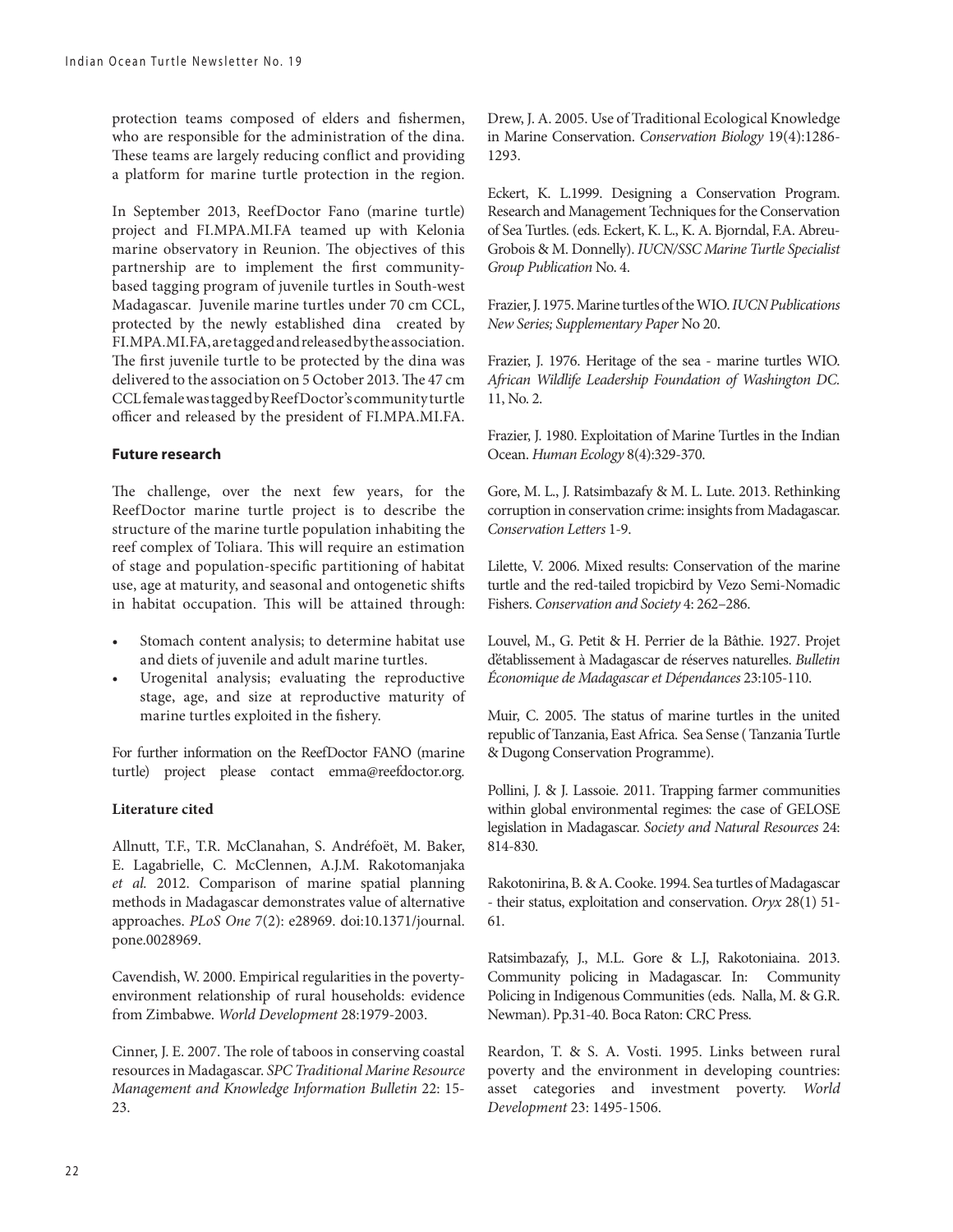protection teams composed of elders and fishermen, who are responsible for the administration of the dina. These teams are largely reducing conflict and providing a platform for marine turtle protection in the region.

In September 2013, ReefDoctor Fano (marine turtle) project and FI.MPA.MI.FA teamed up with Kelonia marine observatory in Reunion. The objectives of this partnership are to implement the first communitybased tagging program of juvenile turtles in South-west Madagascar. Juvenile marine turtles under 70 cm CCL, protected by the newly established dina created by FI.MPA.MI.FA, are tagged and released by the association. The first juvenile turtle to be protected by the dina was delivered to the association on 5 October 2013. The 47 cm CCL female was tagged by ReefDoctor's community turtle officer and released by the president of FI.MPA.MI.FA.

#### **Future research**

The challenge, over the next few years, for the ReefDoctor marine turtle project is to describe the structure of the marine turtle population inhabiting the reef complex of Toliara. This will require an estimation of stage and population-specific partitioning of habitat use, age at maturity, and seasonal and ontogenetic shifts in habitat occupation. This will be attained through:

- Stomach content analysis; to determine habitat use and diets of juvenile and adult marine turtles.
- Urogenital analysis; evaluating the reproductive stage, age, and size at reproductive maturity of marine turtles exploited in the fishery.

For further information on the ReefDoctor FANO (marine turtle) project please contact emma@reefdoctor.org.

#### **Literature cited**

Allnutt, T.F., T.R. McClanahan, S. Andréfoët, M. Baker, E. Lagabrielle, C. McClennen, A.J.M. Rakotomanjaka *et al.* 2012. Comparison of marine spatial planning methods in Madagascar demonstrates value of alternative approaches. *PLoS One* 7(2): e28969. doi:10.1371/journal. pone.0028969.

Cavendish, W. 2000. Empirical regularities in the povertyenvironment relationship of rural households: evidence from Zimbabwe. *World Development* 28:1979-2003.

Cinner, J. E. 2007. The role of taboos in conserving coastal resources in Madagascar. *SPC Traditional Marine Resource Management and Knowledge Information Bulletin* 22: 15- 23.

Drew, J. A. 2005. Use of Traditional Ecological Knowledge in Marine Conservation. *Conservation Biology* 19(4):1286- 1293.

Eckert, K. L.1999. Designing a Conservation Program. Research and Management Techniques for the Conservation of Sea Turtles. (eds. Eckert, K. L., K. A. Bjorndal, F.A. Abreu-Grobois & M. Donnelly). *IUCN/SSC Marine Turtle Specialist Group Publication* No. 4.

Frazier, J. 1975. Marine turtles of the WIO. *IUCN Publications New Series; Supplementary Paper* No 20.

Frazier, J. 1976. Heritage of the sea - marine turtles WIO. *African Wildlife Leadership Foundation of Washington DC.*  11, No. 2.

Frazier, J. 1980. Exploitation of Marine Turtles in the Indian Ocean. *Human Ecology* 8(4):329-370.

Gore, M. L., J. Ratsimbazafy & M. L. Lute. 2013. Rethinking corruption in conservation crime: insights from Madagascar. *Conservation Letters* 1-9.

Lilette, V. 2006. Mixed results: Conservation of the marine turtle and the red-tailed tropicbird by Vezo Semi-Nomadic Fishers. *Conservation and Society* 4: 262–286.

Louvel, M., G. Petit & H. Perrier de la Bâthie. 1927. Projet d'établissement à Madagascar de réserves naturelles. *Bulletin Économique de Madagascar et Dépendances* 23:105-110.

Muir, C. 2005. The status of marine turtles in the united republic of Tanzania, East Africa. Sea Sense ( Tanzania Turtle & Dugong Conservation Programme).

Pollini, J. & J. Lassoie. 2011. Trapping farmer communities within global environmental regimes: the case of GELOSE legislation in Madagascar. *Society and Natural Resources* 24: 814-830.

Rakotonirina, B. & A. Cooke. 1994. Sea turtles of Madagascar - their status, exploitation and conservation. *Oryx* 28(1) 51- 61.

Ratsimbazafy, J., M.L. Gore & L.J, Rakotoniaina. 2013. Community policing in Madagascar. In: Community Policing in Indigenous Communities (eds. Nalla, M. & G.R. Newman). Pp.31-40. Boca Raton: CRC Press.

Reardon, T. & S. A. Vosti. 1995. Links between rural poverty and the environment in developing countries: asset categories and investment poverty. *World Development* 23: 1495-1506.